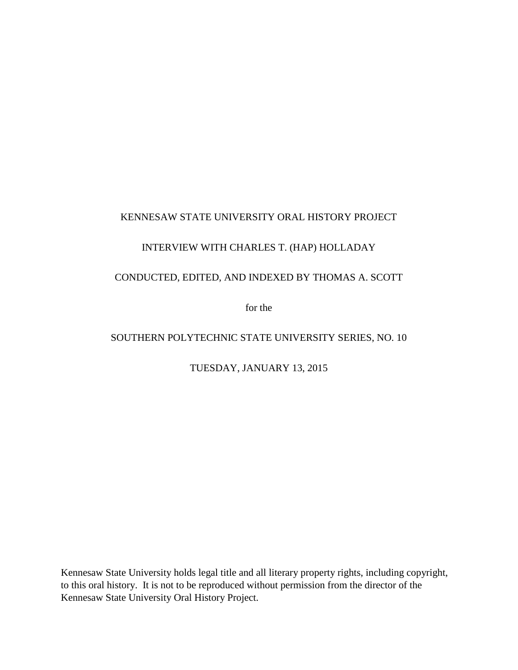# KENNESAW STATE UNIVERSITY ORAL HISTORY PROJECT

# INTERVIEW WITH CHARLES T. (HAP) HOLLADAY

# CONDUCTED, EDITED, AND INDEXED BY THOMAS A. SCOTT

for the

# SOUTHERN POLYTECHNIC STATE UNIVERSITY SERIES, NO. 10

### TUESDAY, JANUARY 13, 2015

Kennesaw State University holds legal title and all literary property rights, including copyright, to this oral history. It is not to be reproduced without permission from the director of the Kennesaw State University Oral History Project.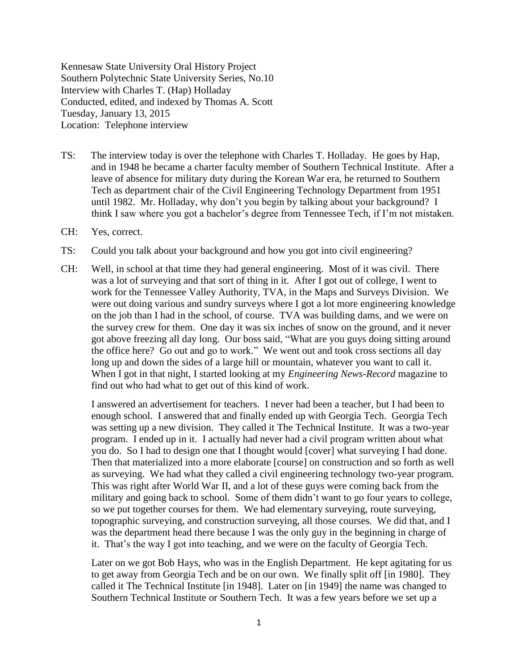Kennesaw State University Oral History Project Southern Polytechnic State University Series, No.10 Interview with Charles T. (Hap) Holladay Conducted, edited, and indexed by Thomas A. Scott Tuesday, January 13, 2015 Location: Telephone interview

- TS: The interview today is over the telephone with Charles T. Holladay. He goes by Hap, and in 1948 he became a charter faculty member of Southern Technical Institute. After a leave of absence for military duty during the Korean War era, he returned to Southern Tech as department chair of the Civil Engineering Technology Department from 1951 until 1982. Mr. Holladay, why don't you begin by talking about your background? I think I saw where you got a bachelor's degree from Tennessee Tech, if I'm not mistaken.
- CH: Yes, correct.
- TS: Could you talk about your background and how you got into civil engineering?
- CH: Well, in school at that time they had general engineering. Most of it was civil. There was a lot of surveying and that sort of thing in it. After I got out of college, I went to work for the Tennessee Valley Authority, TVA, in the Maps and Surveys Division. We were out doing various and sundry surveys where I got a lot more engineering knowledge on the job than I had in the school, of course. TVA was building dams, and we were on the survey crew for them. One day it was six inches of snow on the ground, and it never got above freezing all day long. Our boss said, "What are you guys doing sitting around the office here? Go out and go to work." We went out and took cross sections all day long up and down the sides of a large hill or mountain, whatever you want to call it. When I got in that night, I started looking at my *Engineering News-Record* magazine to find out who had what to get out of this kind of work.

I answered an advertisement for teachers. I never had been a teacher, but I had been to enough school. I answered that and finally ended up with Georgia Tech. Georgia Tech was setting up a new division. They called it The Technical Institute. It was a two-year program. I ended up in it. I actually had never had a civil program written about what you do. So I had to design one that I thought would [cover] what surveying I had done. Then that materialized into a more elaborate [course] on construction and so forth as well as surveying. We had what they called a civil engineering technology two-year program. This was right after World War II, and a lot of these guys were coming back from the military and going back to school. Some of them didn't want to go four years to college, so we put together courses for them. We had elementary surveying, route surveying, topographic surveying, and construction surveying, all those courses. We did that, and I was the department head there because I was the only guy in the beginning in charge of it. That's the way I got into teaching, and we were on the faculty of Georgia Tech.

Later on we got Bob Hays, who was in the English Department. He kept agitating for us to get away from Georgia Tech and be on our own. We finally split off [in 1980]. They called it The Technical Institute [in 1948]. Later on [in 1949] the name was changed to Southern Technical Institute or Southern Tech. It was a few years before we set up a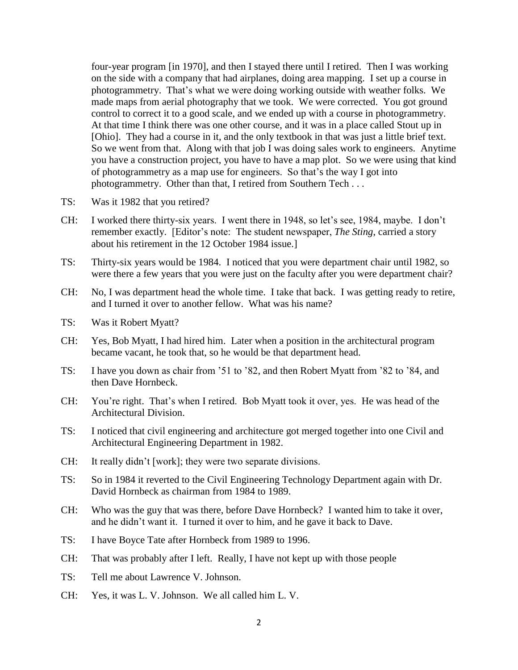four-year program [in 1970], and then I stayed there until I retired. Then I was working on the side with a company that had airplanes, doing area mapping. I set up a course in photogrammetry. That's what we were doing working outside with weather folks. We made maps from aerial photography that we took. We were corrected. You got ground control to correct it to a good scale, and we ended up with a course in photogrammetry. At that time I think there was one other course, and it was in a place called Stout up in [Ohio]. They had a course in it, and the only textbook in that was just a little brief text. So we went from that. Along with that job I was doing sales work to engineers. Anytime you have a construction project, you have to have a map plot. So we were using that kind of photogrammetry as a map use for engineers. So that's the way I got into photogrammetry. Other than that, I retired from Southern Tech . . .

- TS: Was it 1982 that you retired?
- CH: I worked there thirty-six years. I went there in 1948, so let's see, 1984, maybe. I don't remember exactly. [Editor's note: The student newspaper, *The Sting*, carried a story about his retirement in the 12 October 1984 issue.]
- TS: Thirty-six years would be 1984. I noticed that you were department chair until 1982, so were there a few years that you were just on the faculty after you were department chair?
- CH: No, I was department head the whole time. I take that back. I was getting ready to retire, and I turned it over to another fellow. What was his name?
- TS: Was it Robert Myatt?
- CH: Yes, Bob Myatt, I had hired him. Later when a position in the architectural program became vacant, he took that, so he would be that department head.
- TS: I have you down as chair from '51 to '82, and then Robert Myatt from '82 to '84, and then Dave Hornbeck.
- CH: You're right. That's when I retired. Bob Myatt took it over, yes. He was head of the Architectural Division.
- TS: I noticed that civil engineering and architecture got merged together into one Civil and Architectural Engineering Department in 1982.
- CH: It really didn't [work]; they were two separate divisions.
- TS: So in 1984 it reverted to the Civil Engineering Technology Department again with Dr. David Hornbeck as chairman from 1984 to 1989.
- CH: Who was the guy that was there, before Dave Hornbeck? I wanted him to take it over, and he didn't want it. I turned it over to him, and he gave it back to Dave.
- TS: I have Boyce Tate after Hornbeck from 1989 to 1996.
- CH: That was probably after I left. Really, I have not kept up with those people
- TS: Tell me about Lawrence V. Johnson.
- CH: Yes, it was L. V. Johnson. We all called him L. V.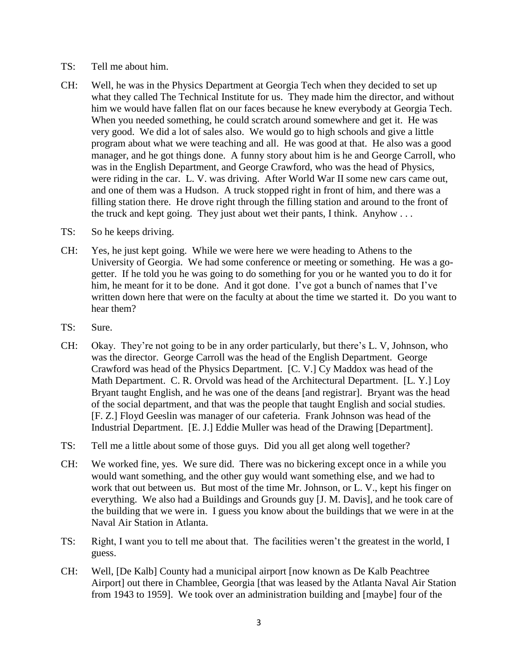- TS: Tell me about him.
- CH: Well, he was in the Physics Department at Georgia Tech when they decided to set up what they called The Technical Institute for us. They made him the director, and without him we would have fallen flat on our faces because he knew everybody at Georgia Tech. When you needed something, he could scratch around somewhere and get it. He was very good. We did a lot of sales also. We would go to high schools and give a little program about what we were teaching and all. He was good at that. He also was a good manager, and he got things done. A funny story about him is he and George Carroll, who was in the English Department, and George Crawford, who was the head of Physics, were riding in the car. L. V. was driving. After World War II some new cars came out, and one of them was a Hudson. A truck stopped right in front of him, and there was a filling station there. He drove right through the filling station and around to the front of the truck and kept going. They just about wet their pants, I think. Anyhow . . .
- TS: So he keeps driving.
- CH: Yes, he just kept going. While we were here we were heading to Athens to the University of Georgia. We had some conference or meeting or something. He was a gogetter. If he told you he was going to do something for you or he wanted you to do it for him, he meant for it to be done. And it got done. I've got a bunch of names that I've written down here that were on the faculty at about the time we started it. Do you want to hear them?
- TS: Sure.
- CH: Okay. They're not going to be in any order particularly, but there's L. V, Johnson, who was the director. George Carroll was the head of the English Department. George Crawford was head of the Physics Department. [C. V.] Cy Maddox was head of the Math Department. C. R. Orvold was head of the Architectural Department. [L. Y.] Loy Bryant taught English, and he was one of the deans [and registrar]. Bryant was the head of the social department, and that was the people that taught English and social studies. [F. Z.] Floyd Geeslin was manager of our cafeteria. Frank Johnson was head of the Industrial Department. [E. J.] Eddie Muller was head of the Drawing [Department].
- TS: Tell me a little about some of those guys. Did you all get along well together?
- CH: We worked fine, yes. We sure did. There was no bickering except once in a while you would want something, and the other guy would want something else, and we had to work that out between us. But most of the time Mr. Johnson, or L. V., kept his finger on everything. We also had a Buildings and Grounds guy [J. M. Davis], and he took care of the building that we were in. I guess you know about the buildings that we were in at the Naval Air Station in Atlanta.
- TS: Right, I want you to tell me about that. The facilities weren't the greatest in the world, I guess.
- CH: Well, [De Kalb] County had a municipal airport [now known as De Kalb Peachtree Airport] out there in Chamblee, Georgia [that was leased by the Atlanta Naval Air Station from 1943 to 1959]. We took over an administration building and [maybe] four of the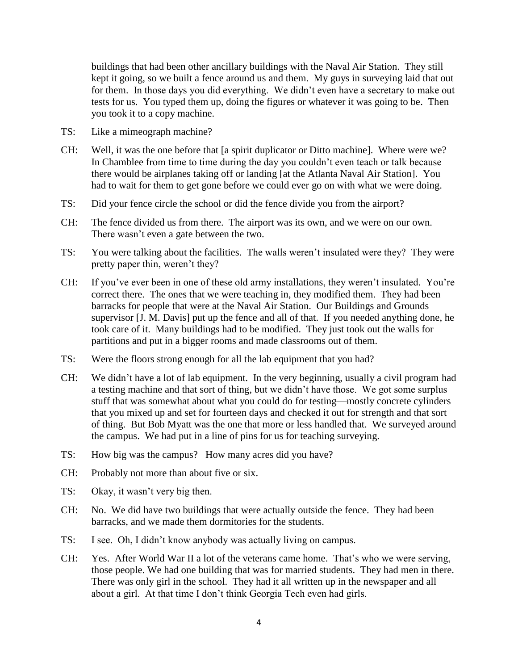buildings that had been other ancillary buildings with the Naval Air Station. They still kept it going, so we built a fence around us and them. My guys in surveying laid that out for them. In those days you did everything. We didn't even have a secretary to make out tests for us. You typed them up, doing the figures or whatever it was going to be. Then you took it to a copy machine.

- TS: Like a mimeograph machine?
- CH: Well, it was the one before that [a spirit duplicator or Ditto machine]. Where were we? In Chamblee from time to time during the day you couldn't even teach or talk because there would be airplanes taking off or landing [at the Atlanta Naval Air Station]. You had to wait for them to get gone before we could ever go on with what we were doing.
- TS: Did your fence circle the school or did the fence divide you from the airport?
- CH: The fence divided us from there. The airport was its own, and we were on our own. There wasn't even a gate between the two.
- TS: You were talking about the facilities. The walls weren't insulated were they? They were pretty paper thin, weren't they?
- CH: If you've ever been in one of these old army installations, they weren't insulated. You're correct there. The ones that we were teaching in, they modified them. They had been barracks for people that were at the Naval Air Station. Our Buildings and Grounds supervisor [J. M. Davis] put up the fence and all of that. If you needed anything done, he took care of it. Many buildings had to be modified. They just took out the walls for partitions and put in a bigger rooms and made classrooms out of them.
- TS: Were the floors strong enough for all the lab equipment that you had?
- CH: We didn't have a lot of lab equipment. In the very beginning, usually a civil program had a testing machine and that sort of thing, but we didn't have those. We got some surplus stuff that was somewhat about what you could do for testing—mostly concrete cylinders that you mixed up and set for fourteen days and checked it out for strength and that sort of thing. But Bob Myatt was the one that more or less handled that. We surveyed around the campus. We had put in a line of pins for us for teaching surveying.
- TS: How big was the campus? How many acres did you have?
- CH: Probably not more than about five or six.
- TS: Okay, it wasn't very big then.
- CH: No. We did have two buildings that were actually outside the fence. They had been barracks, and we made them dormitories for the students.
- TS: I see. Oh, I didn't know anybody was actually living on campus.
- CH: Yes. After World War II a lot of the veterans came home. That's who we were serving, those people. We had one building that was for married students. They had men in there. There was only girl in the school. They had it all written up in the newspaper and all about a girl. At that time I don't think Georgia Tech even had girls.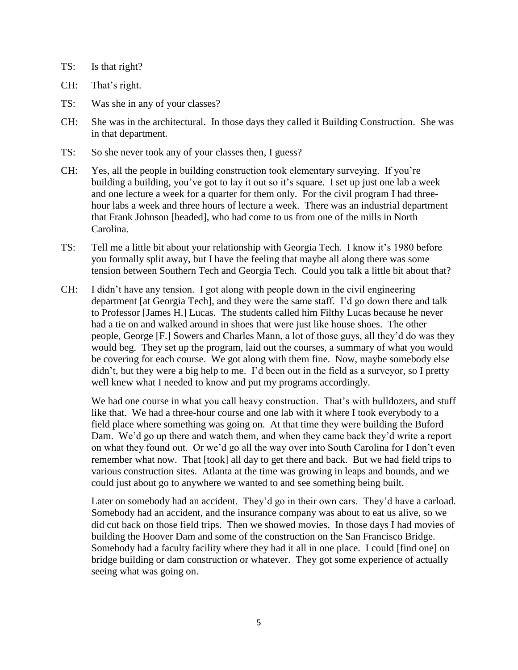TS: Is that right?

CH: That's right.

- TS: Was she in any of your classes?
- CH: She was in the architectural. In those days they called it Building Construction. She was in that department.
- TS: So she never took any of your classes then, I guess?
- CH: Yes, all the people in building construction took elementary surveying. If you're building a building, you've got to lay it out so it's square. I set up just one lab a week and one lecture a week for a quarter for them only. For the civil program I had threehour labs a week and three hours of lecture a week. There was an industrial department that Frank Johnson [headed], who had come to us from one of the mills in North Carolina.
- TS: Tell me a little bit about your relationship with Georgia Tech. I know it's 1980 before you formally split away, but I have the feeling that maybe all along there was some tension between Southern Tech and Georgia Tech. Could you talk a little bit about that?
- CH: I didn't have any tension. I got along with people down in the civil engineering department [at Georgia Tech], and they were the same staff. I'd go down there and talk to Professor [James H.] Lucas. The students called him Filthy Lucas because he never had a tie on and walked around in shoes that were just like house shoes. The other people, George [F.] Sowers and Charles Mann, a lot of those guys, all they'd do was they would beg. They set up the program, laid out the courses, a summary of what you would be covering for each course. We got along with them fine. Now, maybe somebody else didn't, but they were a big help to me. I'd been out in the field as a surveyor, so I pretty well knew what I needed to know and put my programs accordingly.

We had one course in what you call heavy construction. That's with bulldozers, and stuff like that. We had a three-hour course and one lab with it where I took everybody to a field place where something was going on. At that time they were building the Buford Dam. We'd go up there and watch them, and when they came back they'd write a report on what they found out. Or we'd go all the way over into South Carolina for I don't even remember what now. That [took] all day to get there and back. But we had field trips to various construction sites. Atlanta at the time was growing in leaps and bounds, and we could just about go to anywhere we wanted to and see something being built.

Later on somebody had an accident. They'd go in their own cars. They'd have a carload. Somebody had an accident, and the insurance company was about to eat us alive, so we did cut back on those field trips. Then we showed movies. In those days I had movies of building the Hoover Dam and some of the construction on the San Francisco Bridge. Somebody had a faculty facility where they had it all in one place. I could [find one] on bridge building or dam construction or whatever. They got some experience of actually seeing what was going on.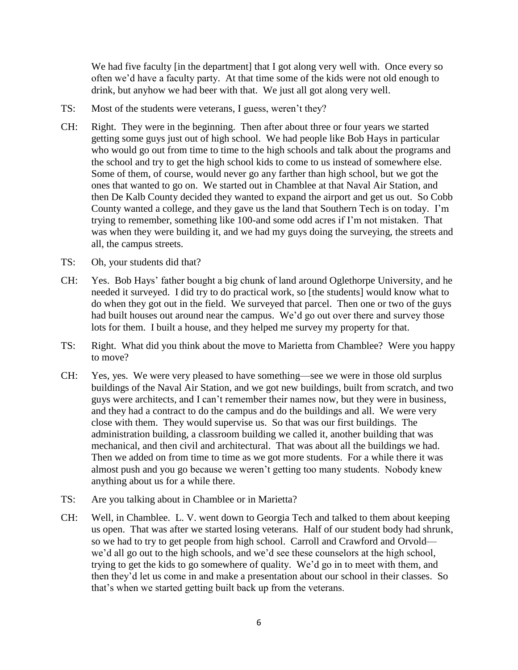We had five faculty [in the department] that I got along very well with. Once every so often we'd have a faculty party. At that time some of the kids were not old enough to drink, but anyhow we had beer with that. We just all got along very well.

- TS: Most of the students were veterans, I guess, weren't they?
- CH: Right. They were in the beginning. Then after about three or four years we started getting some guys just out of high school. We had people like Bob Hays in particular who would go out from time to time to the high schools and talk about the programs and the school and try to get the high school kids to come to us instead of somewhere else. Some of them, of course, would never go any farther than high school, but we got the ones that wanted to go on. We started out in Chamblee at that Naval Air Station, and then De Kalb County decided they wanted to expand the airport and get us out. So Cobb County wanted a college, and they gave us the land that Southern Tech is on today. I'm trying to remember, something like 100-and some odd acres if I'm not mistaken. That was when they were building it, and we had my guys doing the surveying, the streets and all, the campus streets.
- TS: Oh, your students did that?
- CH: Yes. Bob Hays' father bought a big chunk of land around Oglethorpe University, and he needed it surveyed. I did try to do practical work, so [the students] would know what to do when they got out in the field. We surveyed that parcel. Then one or two of the guys had built houses out around near the campus. We'd go out over there and survey those lots for them. I built a house, and they helped me survey my property for that.
- TS: Right. What did you think about the move to Marietta from Chamblee? Were you happy to move?
- CH: Yes, yes. We were very pleased to have something—see we were in those old surplus buildings of the Naval Air Station, and we got new buildings, built from scratch, and two guys were architects, and I can't remember their names now, but they were in business, and they had a contract to do the campus and do the buildings and all. We were very close with them. They would supervise us. So that was our first buildings. The administration building, a classroom building we called it, another building that was mechanical, and then civil and architectural. That was about all the buildings we had. Then we added on from time to time as we got more students. For a while there it was almost push and you go because we weren't getting too many students. Nobody knew anything about us for a while there.
- TS: Are you talking about in Chamblee or in Marietta?
- CH: Well, in Chamblee. L. V. went down to Georgia Tech and talked to them about keeping us open. That was after we started losing veterans. Half of our student body had shrunk, so we had to try to get people from high school. Carroll and Crawford and Orvold we'd all go out to the high schools, and we'd see these counselors at the high school, trying to get the kids to go somewhere of quality. We'd go in to meet with them, and then they'd let us come in and make a presentation about our school in their classes. So that's when we started getting built back up from the veterans.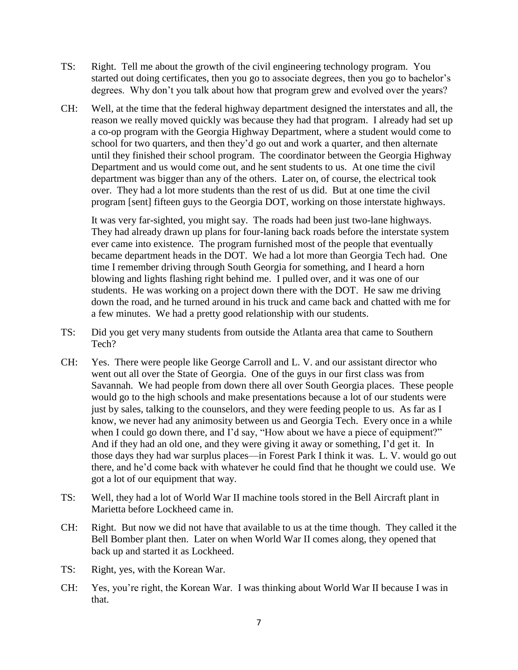- TS: Right. Tell me about the growth of the civil engineering technology program. You started out doing certificates, then you go to associate degrees, then you go to bachelor's degrees. Why don't you talk about how that program grew and evolved over the years?
- CH: Well, at the time that the federal highway department designed the interstates and all, the reason we really moved quickly was because they had that program. I already had set up a co-op program with the Georgia Highway Department, where a student would come to school for two quarters, and then they'd go out and work a quarter, and then alternate until they finished their school program. The coordinator between the Georgia Highway Department and us would come out, and he sent students to us. At one time the civil department was bigger than any of the others. Later on, of course, the electrical took over. They had a lot more students than the rest of us did. But at one time the civil program [sent] fifteen guys to the Georgia DOT, working on those interstate highways.

It was very far-sighted, you might say. The roads had been just two-lane highways. They had already drawn up plans for four-laning back roads before the interstate system ever came into existence. The program furnished most of the people that eventually became department heads in the DOT. We had a lot more than Georgia Tech had. One time I remember driving through South Georgia for something, and I heard a horn blowing and lights flashing right behind me. I pulled over, and it was one of our students. He was working on a project down there with the DOT. He saw me driving down the road, and he turned around in his truck and came back and chatted with me for a few minutes. We had a pretty good relationship with our students.

- TS: Did you get very many students from outside the Atlanta area that came to Southern Tech?
- CH: Yes. There were people like George Carroll and L. V. and our assistant director who went out all over the State of Georgia. One of the guys in our first class was from Savannah. We had people from down there all over South Georgia places. These people would go to the high schools and make presentations because a lot of our students were just by sales, talking to the counselors, and they were feeding people to us. As far as I know, we never had any animosity between us and Georgia Tech. Every once in a while when I could go down there, and I'd say, "How about we have a piece of equipment?" And if they had an old one, and they were giving it away or something, I'd get it. In those days they had war surplus places—in Forest Park I think it was. L. V. would go out there, and he'd come back with whatever he could find that he thought we could use. We got a lot of our equipment that way.
- TS: Well, they had a lot of World War II machine tools stored in the Bell Aircraft plant in Marietta before Lockheed came in.
- CH: Right. But now we did not have that available to us at the time though. They called it the Bell Bomber plant then. Later on when World War II comes along, they opened that back up and started it as Lockheed.
- TS: Right, yes, with the Korean War.
- CH: Yes, you're right, the Korean War. I was thinking about World War II because I was in that.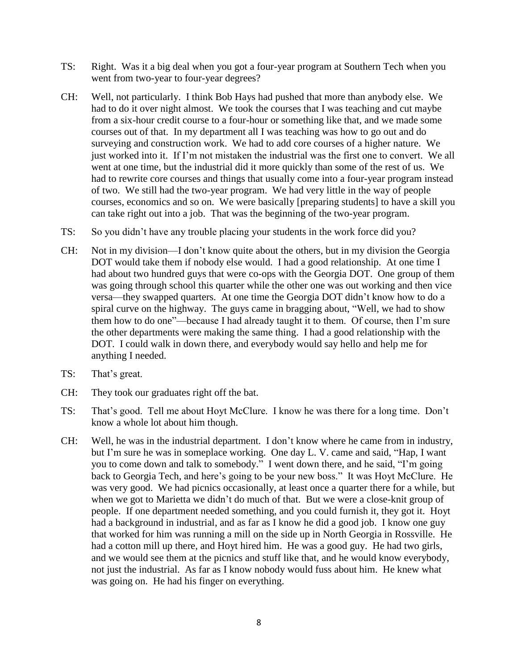- TS: Right. Was it a big deal when you got a four-year program at Southern Tech when you went from two-year to four-year degrees?
- CH: Well, not particularly. I think Bob Hays had pushed that more than anybody else. We had to do it over night almost. We took the courses that I was teaching and cut maybe from a six-hour credit course to a four-hour or something like that, and we made some courses out of that. In my department all I was teaching was how to go out and do surveying and construction work. We had to add core courses of a higher nature. We just worked into it. If I'm not mistaken the industrial was the first one to convert. We all went at one time, but the industrial did it more quickly than some of the rest of us. We had to rewrite core courses and things that usually come into a four-year program instead of two. We still had the two-year program. We had very little in the way of people courses, economics and so on. We were basically [preparing students] to have a skill you can take right out into a job. That was the beginning of the two-year program.
- TS: So you didn't have any trouble placing your students in the work force did you?
- CH: Not in my division—I don't know quite about the others, but in my division the Georgia DOT would take them if nobody else would. I had a good relationship. At one time I had about two hundred guys that were co-ops with the Georgia DOT. One group of them was going through school this quarter while the other one was out working and then vice versa—they swapped quarters. At one time the Georgia DOT didn't know how to do a spiral curve on the highway. The guys came in bragging about, "Well, we had to show them how to do one"—because I had already taught it to them. Of course, then I'm sure the other departments were making the same thing. I had a good relationship with the DOT. I could walk in down there, and everybody would say hello and help me for anything I needed.
- TS: That's great.
- CH: They took our graduates right off the bat.
- TS: That's good. Tell me about Hoyt McClure. I know he was there for a long time. Don't know a whole lot about him though.
- CH: Well, he was in the industrial department. I don't know where he came from in industry, but I'm sure he was in someplace working. One day L. V. came and said, "Hap, I want you to come down and talk to somebody." I went down there, and he said, "I'm going back to Georgia Tech, and here's going to be your new boss." It was Hoyt McClure. He was very good. We had picnics occasionally, at least once a quarter there for a while, but when we got to Marietta we didn't do much of that. But we were a close-knit group of people. If one department needed something, and you could furnish it, they got it. Hoyt had a background in industrial, and as far as I know he did a good job. I know one guy that worked for him was running a mill on the side up in North Georgia in Rossville. He had a cotton mill up there, and Hoyt hired him. He was a good guy. He had two girls, and we would see them at the picnics and stuff like that, and he would know everybody, not just the industrial. As far as I know nobody would fuss about him. He knew what was going on. He had his finger on everything.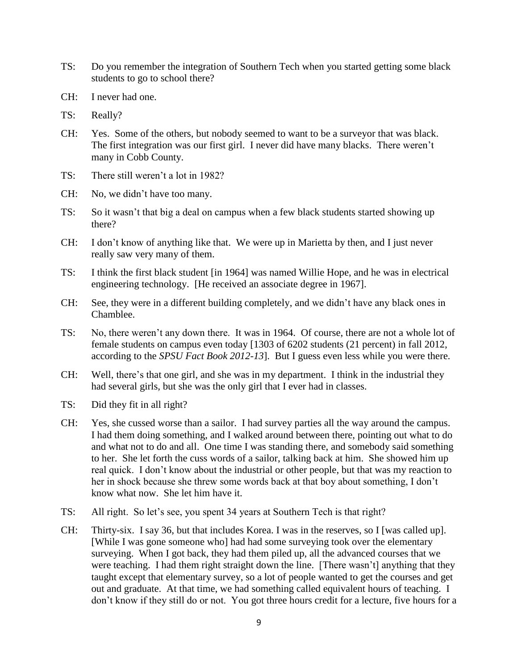- TS: Do you remember the integration of Southern Tech when you started getting some black students to go to school there?
- CH: I never had one.
- TS: Really?
- CH: Yes. Some of the others, but nobody seemed to want to be a surveyor that was black. The first integration was our first girl. I never did have many blacks. There weren't many in Cobb County.
- TS: There still weren't a lot in 1982?
- CH: No, we didn't have too many.
- TS: So it wasn't that big a deal on campus when a few black students started showing up there?
- CH: I don't know of anything like that. We were up in Marietta by then, and I just never really saw very many of them.
- TS: I think the first black student [in 1964] was named Willie Hope, and he was in electrical engineering technology. [He received an associate degree in 1967].
- CH: See, they were in a different building completely, and we didn't have any black ones in Chamblee.
- TS: No, there weren't any down there. It was in 1964. Of course, there are not a whole lot of female students on campus even today [1303 of 6202 students (21 percent) in fall 2012, according to the *SPSU Fact Book 2012-13*]. But I guess even less while you were there.
- CH: Well, there's that one girl, and she was in my department. I think in the industrial they had several girls, but she was the only girl that I ever had in classes.
- TS: Did they fit in all right?
- CH: Yes, she cussed worse than a sailor. I had survey parties all the way around the campus. I had them doing something, and I walked around between there, pointing out what to do and what not to do and all. One time I was standing there, and somebody said something to her. She let forth the cuss words of a sailor, talking back at him. She showed him up real quick. I don't know about the industrial or other people, but that was my reaction to her in shock because she threw some words back at that boy about something, I don't know what now. She let him have it.
- TS: All right. So let's see, you spent 34 years at Southern Tech is that right?
- CH: Thirty-six. I say 36, but that includes Korea. I was in the reserves, so I [was called up]. [While I was gone someone who] had had some surveying took over the elementary surveying. When I got back, they had them piled up, all the advanced courses that we were teaching. I had them right straight down the line. [There wasn't] anything that they taught except that elementary survey, so a lot of people wanted to get the courses and get out and graduate. At that time, we had something called equivalent hours of teaching. I don't know if they still do or not. You got three hours credit for a lecture, five hours for a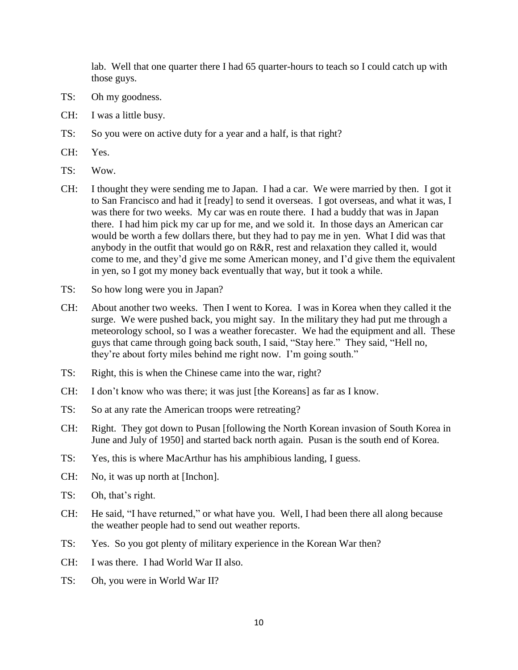lab. Well that one quarter there I had 65 quarter-hours to teach so I could catch up with those guys.

- TS: Oh my goodness.
- CH: I was a little busy.
- TS: So you were on active duty for a year and a half, is that right?
- CH: Yes.
- TS: Wow.
- CH: I thought they were sending me to Japan. I had a car. We were married by then. I got it to San Francisco and had it [ready] to send it overseas. I got overseas, and what it was, I was there for two weeks. My car was en route there. I had a buddy that was in Japan there. I had him pick my car up for me, and we sold it. In those days an American car would be worth a few dollars there, but they had to pay me in yen. What I did was that anybody in the outfit that would go on R&R, rest and relaxation they called it, would come to me, and they'd give me some American money, and I'd give them the equivalent in yen, so I got my money back eventually that way, but it took a while.
- TS: So how long were you in Japan?
- CH: About another two weeks. Then I went to Korea. I was in Korea when they called it the surge. We were pushed back, you might say. In the military they had put me through a meteorology school, so I was a weather forecaster. We had the equipment and all. These guys that came through going back south, I said, "Stay here." They said, "Hell no, they're about forty miles behind me right now. I'm going south."
- TS: Right, this is when the Chinese came into the war, right?
- CH: I don't know who was there; it was just [the Koreans] as far as I know.
- TS: So at any rate the American troops were retreating?
- CH: Right. They got down to Pusan [following the North Korean invasion of South Korea in June and July of 1950] and started back north again. Pusan is the south end of Korea.
- TS: Yes, this is where MacArthur has his amphibious landing, I guess.
- CH: No, it was up north at [Inchon].
- TS: Oh, that's right.
- CH: He said, "I have returned," or what have you. Well, I had been there all along because the weather people had to send out weather reports.
- TS: Yes. So you got plenty of military experience in the Korean War then?
- CH: I was there. I had World War II also.
- TS: Oh, you were in World War II?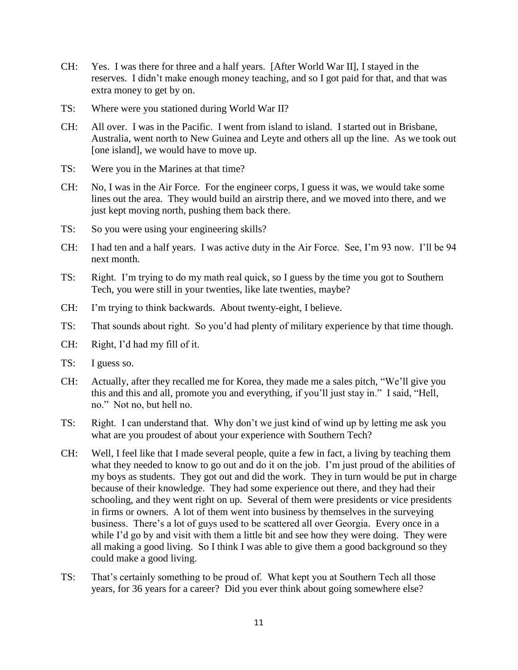- CH: Yes. I was there for three and a half years. [After World War II], I stayed in the reserves. I didn't make enough money teaching, and so I got paid for that, and that was extra money to get by on.
- TS: Where were you stationed during World War II?
- CH: All over. I was in the Pacific. I went from island to island. I started out in Brisbane, Australia, went north to New Guinea and Leyte and others all up the line. As we took out [one island], we would have to move up.
- TS: Were you in the Marines at that time?
- CH: No, I was in the Air Force. For the engineer corps, I guess it was, we would take some lines out the area. They would build an airstrip there, and we moved into there, and we just kept moving north, pushing them back there.
- TS: So you were using your engineering skills?
- CH: I had ten and a half years. I was active duty in the Air Force. See, I'm 93 now. I'll be 94 next month.
- TS: Right. I'm trying to do my math real quick, so I guess by the time you got to Southern Tech, you were still in your twenties, like late twenties, maybe?
- CH: I'm trying to think backwards. About twenty-eight, I believe.
- TS: That sounds about right. So you'd had plenty of military experience by that time though.
- CH: Right, I'd had my fill of it.
- TS: I guess so.
- CH: Actually, after they recalled me for Korea, they made me a sales pitch, "We'll give you this and this and all, promote you and everything, if you'll just stay in." I said, "Hell, no." Not no, but hell no.
- TS: Right. I can understand that. Why don't we just kind of wind up by letting me ask you what are you proudest of about your experience with Southern Tech?
- CH: Well, I feel like that I made several people, quite a few in fact, a living by teaching them what they needed to know to go out and do it on the job. I'm just proud of the abilities of my boys as students. They got out and did the work. They in turn would be put in charge because of their knowledge. They had some experience out there, and they had their schooling, and they went right on up. Several of them were presidents or vice presidents in firms or owners. A lot of them went into business by themselves in the surveying business. There's a lot of guys used to be scattered all over Georgia. Every once in a while I'd go by and visit with them a little bit and see how they were doing. They were all making a good living. So I think I was able to give them a good background so they could make a good living.
- TS: That's certainly something to be proud of. What kept you at Southern Tech all those years, for 36 years for a career? Did you ever think about going somewhere else?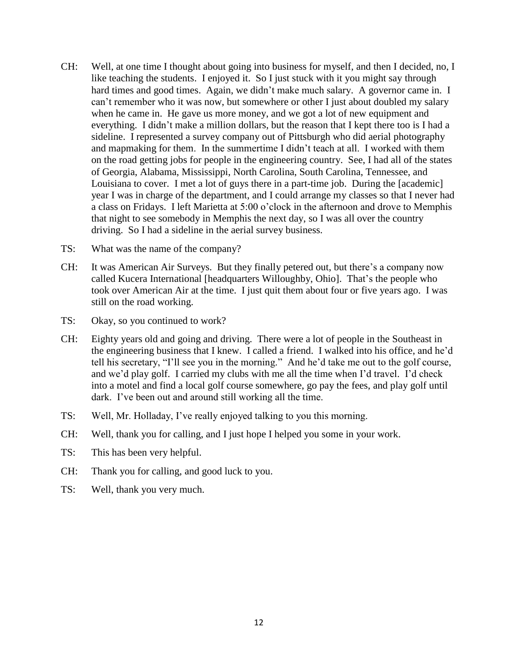- CH: Well, at one time I thought about going into business for myself, and then I decided, no, I like teaching the students. I enjoyed it. So I just stuck with it you might say through hard times and good times. Again, we didn't make much salary. A governor came in. I can't remember who it was now, but somewhere or other I just about doubled my salary when he came in. He gave us more money, and we got a lot of new equipment and everything. I didn't make a million dollars, but the reason that I kept there too is I had a sideline. I represented a survey company out of Pittsburgh who did aerial photography and mapmaking for them. In the summertime I didn't teach at all. I worked with them on the road getting jobs for people in the engineering country. See, I had all of the states of Georgia, Alabama, Mississippi, North Carolina, South Carolina, Tennessee, and Louisiana to cover. I met a lot of guys there in a part-time job. During the [academic] year I was in charge of the department, and I could arrange my classes so that I never had a class on Fridays. I left Marietta at 5:00 o'clock in the afternoon and drove to Memphis that night to see somebody in Memphis the next day, so I was all over the country driving. So I had a sideline in the aerial survey business.
- TS: What was the name of the company?
- CH: It was American Air Surveys. But they finally petered out, but there's a company now called Kucera International [headquarters Willoughby, Ohio]. That's the people who took over American Air at the time. I just quit them about four or five years ago. I was still on the road working.
- TS: Okay, so you continued to work?
- CH: Eighty years old and going and driving. There were a lot of people in the Southeast in the engineering business that I knew. I called a friend. I walked into his office, and he'd tell his secretary, "I'll see you in the morning." And he'd take me out to the golf course, and we'd play golf. I carried my clubs with me all the time when I'd travel. I'd check into a motel and find a local golf course somewhere, go pay the fees, and play golf until dark. I've been out and around still working all the time.
- TS: Well, Mr. Holladay, I've really enjoyed talking to you this morning.
- CH: Well, thank you for calling, and I just hope I helped you some in your work.
- TS: This has been very helpful.
- CH: Thank you for calling, and good luck to you.
- TS: Well, thank you very much.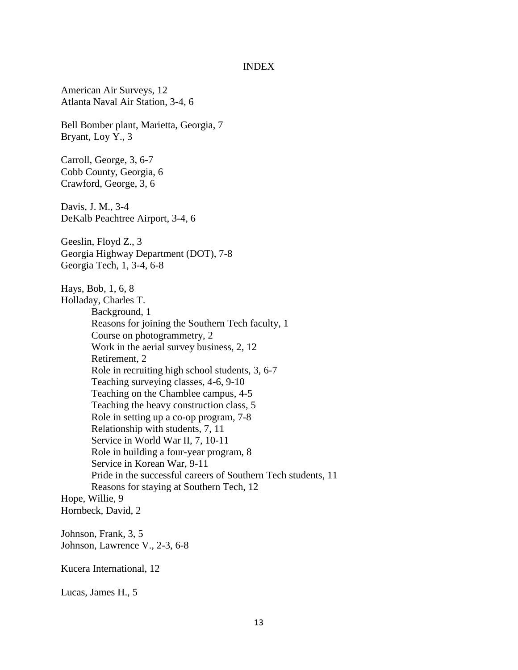#### INDEX

American Air Surveys, 12 Atlanta Naval Air Station, 3-4, 6

Bell Bomber plant, Marietta, Georgia, 7 Bryant, Loy Y., 3

Carroll, George, 3, 6-7 Cobb County, Georgia, 6 Crawford, George, 3, 6

Davis, J. M., 3-4 DeKalb Peachtree Airport, 3-4, 6

Geeslin, Floyd Z., 3 Georgia Highway Department (DOT), 7-8 Georgia Tech, 1, 3-4, 6-8

Hays, Bob, 1, 6, 8 Holladay, Charles T. Background, 1 Reasons for joining the Southern Tech faculty, 1 Course on photogrammetry, 2 Work in the aerial survey business, 2, 12 Retirement, 2 Role in recruiting high school students, 3, 6-7 Teaching surveying classes, 4-6, 9-10 Teaching on the Chamblee campus, 4-5 Teaching the heavy construction class, 5 Role in setting up a co-op program, 7-8 Relationship with students, 7, 11 Service in World War II, 7, 10-11 Role in building a four-year program, 8 Service in Korean War, 9-11 Pride in the successful careers of Southern Tech students, 11 Reasons for staying at Southern Tech, 12 Hope, Willie, 9 Hornbeck, David, 2

Johnson, Frank, 3, 5 Johnson, Lawrence V., 2-3, 6-8

Kucera International, 12

Lucas, James H., 5